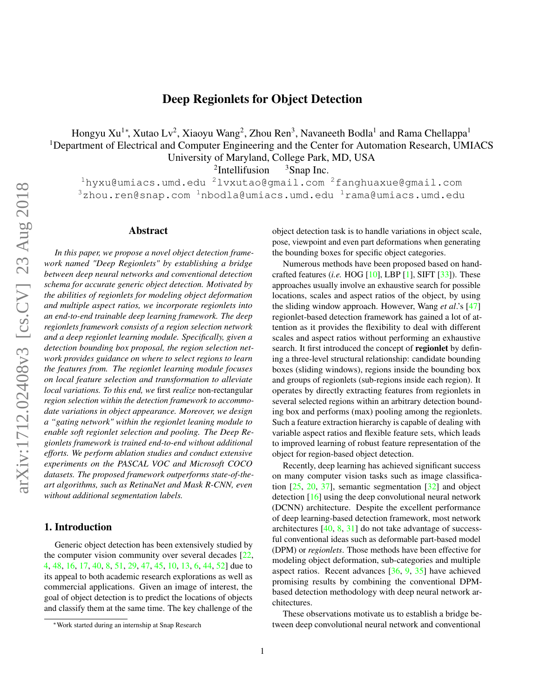# Deep Regionlets for Object Detection

<span id="page-0-0"></span>Hongyu Xu<sup>1∗</sup>, Xutao Lv<sup>2</sup>, Xiaoyu Wang<sup>2</sup>, Zhou Ren<sup>3</sup>, Navaneeth Bodla<sup>1</sup> and Rama Chellappa<sup>1</sup> <sup>1</sup>Department of Electrical and Computer Engineering and the Center for Automation Research, UMIACS University of Maryland, College Park, MD, USA

 ${}^{2}$ Intellifusion  ${}^{3}$ Snap Inc.

1hyxu@umiacs.umd.edu 2lvxutao@gmail.com 2fanghuaxue@gmail.com  $3$ zhou.ren@snap.com  $1$ nbodla@umiacs.umd.edu  $1$ rama@umiacs.umd.edu

## Abstract

*In this paper, we propose a novel object detection framework named "Deep Regionlets" by establishing a bridge between deep neural networks and conventional detection schema for accurate generic object detection. Motivated by the abilities of regionlets for modeling object deformation and multiple aspect ratios, we incorporate regionlets into an end-to-end trainable deep learning framework. The deep regionlets framework consists of a region selection network and a deep regionlet learning module. Specifically, given a detection bounding box proposal, the region selection network provides guidance on where to select regions to learn the features from. The regionlet learning module focuses on local feature selection and transformation to alleviate local variations. To this end, we* first *realize* non-rectangular *region selection within the detection framework to accommodate variations in object appearance. Moreover, we design a "gating network" within the regionlet leaning module to enable soft regionlet selection and pooling. The Deep Regionlets framework is trained end-to-end without additional efforts. We perform ablation studies and conduct extensive experiments on the PASCAL VOC and Microsoft COCO datasets. The proposed framework outperforms state-of-theart algorithms, such as RetinaNet and Mask R-CNN, even without additional segmentation labels.*

# 1. Introduction

Generic object detection has been extensively studied by the computer vision community over several decades [\[22,](#page-9-0) [4,](#page-9-1) [48,](#page-10-0) [16,](#page-9-2) [17,](#page-9-3) [40,](#page-10-1) [8,](#page-9-4) [51,](#page-10-2) [29,](#page-10-3) [47,](#page-10-4) [45,](#page-10-5) [10,](#page-9-5) [13,](#page-9-6) [6,](#page-9-7) [44,](#page-10-6) [52\]](#page-10-7) due to its appeal to both academic research explorations as well as commercial applications. Given an image of interest, the goal of object detection is to predict the locations of objects and classify them at the same time. The key challenge of the

object detection task is to handle variations in object scale, pose, viewpoint and even part deformations when generating the bounding boxes for specific object categories.

Numerous methods have been proposed based on handcrafted features (*i.e.* HOG  $[10]$ , LBP  $[1]$ , SIFT  $[33]$ ). These approaches usually involve an exhaustive search for possible locations, scales and aspect ratios of the object, by using the sliding window approach. However, Wang *et al*.'s [\[47\]](#page-10-4) regionlet-based detection framework has gained a lot of attention as it provides the flexibility to deal with different scales and aspect ratios without performing an exhaustive search. It first introduced the concept of regionlet by defining a three-level structural relationship: candidate bounding boxes (sliding windows), regions inside the bounding box and groups of regionlets (sub-regions inside each region). It operates by directly extracting features from regionlets in several selected regions within an arbitrary detection bounding box and performs (max) pooling among the regionlets. Such a feature extraction hierarchy is capable of dealing with variable aspect ratios and flexible feature sets, which leads to improved learning of robust feature representation of the object for region-based object detection.

Recently, deep learning has achieved significant success on many computer vision tasks such as image classification [\[25,](#page-9-9) [20,](#page-9-10) [37\]](#page-10-9), semantic segmentation [\[32\]](#page-10-10) and object detection [\[16\]](#page-9-2) using the deep convolutional neural network (DCNN) architecture. Despite the excellent performance of deep learning-based detection framework, most network architectures [\[40,](#page-10-1) [8,](#page-9-4) [31\]](#page-10-11) do not take advantage of successful conventional ideas such as deformable part-based model (DPM) or *regionlets*. Those methods have been effective for modeling object deformation, sub-categories and multiple aspect ratios. Recent advances [\[36,](#page-10-12) [9,](#page-9-11) [35\]](#page-10-13) have achieved promising results by combining the conventional DPMbased detection methodology with deep neural network architectures.

These observations motivate us to establish a bridge between deep convolutional neural network and conventional

<sup>∗</sup>Work started during an internship at Snap Research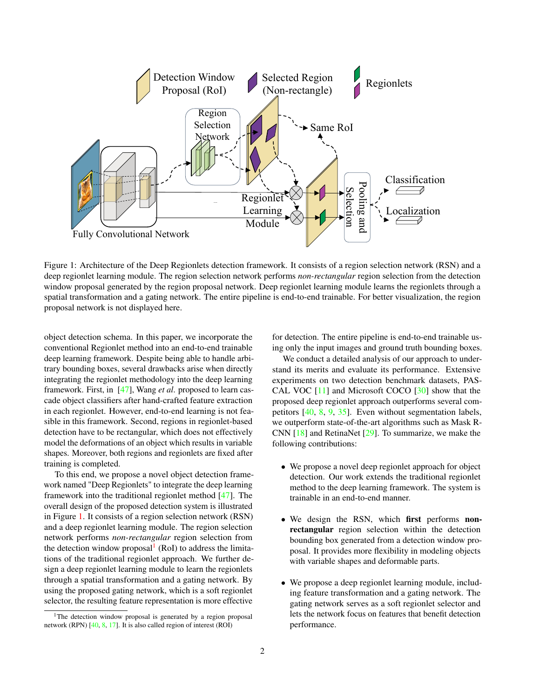<span id="page-1-2"></span><span id="page-1-0"></span>

Figure 1: Architecture of the Deep Regionlets detection framework. It consists of a region selection network (RSN) and a deep regionlet learning module. The region selection network performs *non-rectangular* region selection from the detection window proposal generated by the region proposal network. Deep regionlet learning module learns the regionlets through a spatial transformation and a gating network. The entire pipeline is end-to-end trainable. For better visualization, the region proposal network is not displayed here.

object detection schema. In this paper, we incorporate the conventional Regionlet method into an end-to-end trainable deep learning framework. Despite being able to handle arbitrary bounding boxes, several drawbacks arise when directly integrating the regionlet methodology into the deep learning framework. First, in [\[47\]](#page-10-4), Wang *et al*. proposed to learn cascade object classifiers after hand-crafted feature extraction in each regionlet. However, end-to-end learning is not feasible in this framework. Second, regions in regionlet-based detection have to be rectangular, which does not effectively model the deformations of an object which results in variable shapes. Moreover, both regions and regionlets are fixed after training is completed.

To this end, we propose a novel object detection framework named "Deep Regionlets" to integrate the deep learning framework into the traditional regionlet method [\[47\]](#page-10-4). The overall design of the proposed detection system is illustrated in Figure [1.](#page-1-0) It consists of a region selection network (RSN) and a deep regionlet learning module. The region selection network performs *non-rectangular* region selection from the detection window proposal<sup>[1](#page-1-1)</sup> (RoI) to address the limitations of the traditional regionlet approach. We further design a deep regionlet learning module to learn the regionlets through a spatial transformation and a gating network. By using the proposed gating network, which is a soft regionlet selector, the resulting feature representation is more effective

for detection. The entire pipeline is end-to-end trainable using only the input images and ground truth bounding boxes.

We conduct a detailed analysis of our approach to understand its merits and evaluate its performance. Extensive experiments on two detection benchmark datasets, PAS-CAL VOC  $[11]$  and Microsoft COCO  $[30]$  show that the proposed deep regionlet approach outperforms several competitors [\[40,](#page-10-1) [8,](#page-9-4) [9,](#page-9-11) [35\]](#page-10-13). Even without segmentation labels, we outperform state-of-the-art algorithms such as Mask R-CNN [\[18\]](#page-9-13) and RetinaNet [\[29\]](#page-10-3). To summarize, we make the following contributions:

- We propose a novel deep regionlet approach for object detection. Our work extends the traditional regionlet method to the deep learning framework. The system is trainable in an end-to-end manner.
- We design the RSN, which first performs nonrectangular region selection within the detection bounding box generated from a detection window proposal. It provides more flexibility in modeling objects with variable shapes and deformable parts.
- We propose a deep regionlet learning module, including feature transformation and a gating network. The gating network serves as a soft regionlet selector and lets the network focus on features that benefit detection performance.

<span id="page-1-1"></span><sup>&</sup>lt;sup>1</sup>The detection window proposal is generated by a region proposal network (RPN) [\[40,](#page-10-1) [8,](#page-9-4) [17\]](#page-9-3). It is also called region of interest (ROI)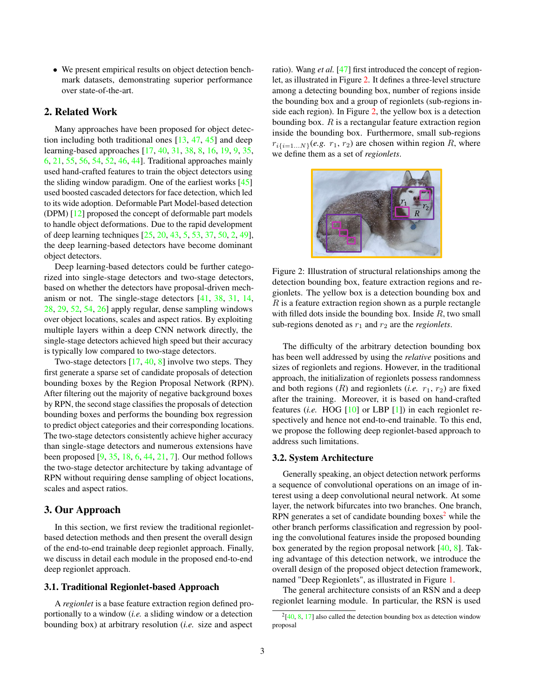<span id="page-2-2"></span>• We present empirical results on object detection benchmark datasets, demonstrating superior performance over state-of-the-art.

# 2. Related Work

Many approaches have been proposed for object detection including both traditional ones [\[13,](#page-9-6) [47,](#page-10-4) [45\]](#page-10-5) and deep learning-based approaches [\[17,](#page-9-3) [40,](#page-10-1) [31,](#page-10-11) [38,](#page-10-15) [8,](#page-9-4) [16,](#page-9-2) [19,](#page-9-14) [9,](#page-9-11) [35,](#page-10-13) [6,](#page-9-7) [21,](#page-9-15) [55,](#page-10-16) [56,](#page-10-17) [54,](#page-10-18) [52,](#page-10-7) [46,](#page-10-19) [44\]](#page-10-6). Traditional approaches mainly used hand-crafted features to train the object detectors using the sliding window paradigm. One of the earliest works [\[45\]](#page-10-5) used boosted cascaded detectors for face detection, which led to its wide adoption. Deformable Part Model-based detection (DPM) [\[12\]](#page-9-16) proposed the concept of deformable part models to handle object deformations. Due to the rapid development of deep learning techniques [\[25,](#page-9-9) [20,](#page-9-10) [43,](#page-10-20) [5,](#page-9-17) [53,](#page-10-21) [37,](#page-10-9) [50,](#page-10-22) [2,](#page-9-18) [49\]](#page-10-23), the deep learning-based detectors have become dominant object detectors.

Deep learning-based detectors could be further categorized into single-stage detectors and two-stage detectors, based on whether the detectors have proposal-driven mechanism or not. The single-stage detectors [\[41,](#page-10-24) [38,](#page-10-15) [31,](#page-10-11) [14,](#page-9-19) [28,](#page-10-25) [29,](#page-10-3) [52,](#page-10-7) [54,](#page-10-18) [26\]](#page-9-20) apply regular, dense sampling windows over object locations, scales and aspect ratios. By exploiting multiple layers within a deep CNN network directly, the single-stage detectors achieved high speed but their accuracy is typically low compared to two-stage detectors.

Two-stage detectors [\[17,](#page-9-3) [40,](#page-10-1) [8\]](#page-9-4) involve two steps. They first generate a sparse set of candidate proposals of detection bounding boxes by the Region Proposal Network (RPN). After filtering out the majority of negative background boxes by RPN, the second stage classifies the proposals of detection bounding boxes and performs the bounding box regression to predict object categories and their corresponding locations. The two-stage detectors consistently achieve higher accuracy than single-stage detectors and numerous extensions have been proposed [\[9,](#page-9-11) [35,](#page-10-13) [18,](#page-9-13) [6,](#page-9-7) [44,](#page-10-6) [21,](#page-9-15) [7\]](#page-9-21). Our method follows the two-stage detector architecture by taking advantage of RPN without requiring dense sampling of object locations, scales and aspect ratios.

# 3. Our Approach

In this section, we first review the traditional regionletbased detection methods and then present the overall design of the end-to-end trainable deep regionlet approach. Finally, we discuss in detail each module in the proposed end-to-end deep regionlet approach.

# 3.1. Traditional Regionlet-based Approach

A *regionlet* is a base feature extraction region defined proportionally to a window (*i.e.* a sliding window or a detection bounding box) at arbitrary resolution (*i.e.* size and aspect

ratio). Wang *et al.* [\[47\]](#page-10-4) first introduced the concept of regionlet, as illustrated in Figure [2.](#page-2-0) It defines a three-level structure among a detecting bounding box, number of regions inside the bounding box and a group of regionlets (sub-regions inside each region). In Figure [2,](#page-2-0) the yellow box is a detection bounding box.  $R$  is a rectangular feature extraction region inside the bounding box. Furthermore, small sub-regions  $r_{i,i=1...N}$  $(e.g. r_1, r_2)$  are chosen within region R, where we define them as a set of *regionlets*.

<span id="page-2-0"></span>

Figure 2: Illustration of structural relationships among the detection bounding box, feature extraction regions and regionlets. The yellow box is a detection bounding box and  $R$  is a feature extraction region shown as a purple rectangle with filled dots inside the bounding box. Inside  $R$ , two small sub-regions denoted as  $r_1$  and  $r_2$  are the *regionlets*.

The difficulty of the arbitrary detection bounding box has been well addressed by using the *relative* positions and sizes of regionlets and regions. However, in the traditional approach, the initialization of regionlets possess randomness and both regions  $(R)$  and regionlets (*i.e.*  $r_1$ ,  $r_2$ ) are fixed after the training. Moreover, it is based on hand-crafted features (*i.e.* HOG [\[10\]](#page-9-5) or LBP [\[1\]](#page-9-8)) in each regionlet respectively and hence not end-to-end trainable. To this end, we propose the following deep regionlet-based approach to address such limitations.

#### 3.2. System Architecture

Generally speaking, an object detection network performs a sequence of convolutional operations on an image of interest using a deep convolutional neural network. At some layer, the network bifurcates into two branches. One branch, RPN generates a set of candidate bounding boxes<sup>[2](#page-2-1)</sup> while the other branch performs classification and regression by pooling the convolutional features inside the proposed bounding box generated by the region proposal network [\[40,](#page-10-1) [8\]](#page-9-4). Taking advantage of this detection network, we introduce the overall design of the proposed object detection framework, named "Deep Regionlets", as illustrated in Figure [1.](#page-1-0)

The general architecture consists of an RSN and a deep regionlet learning module. In particular, the RSN is used

<span id="page-2-1"></span> $2[40, 8, 17]$  $2[40, 8, 17]$  $2[40, 8, 17]$  $2[40, 8, 17]$  $2[40, 8, 17]$  $2[40, 8, 17]$  also called the detection bounding box as detection window proposal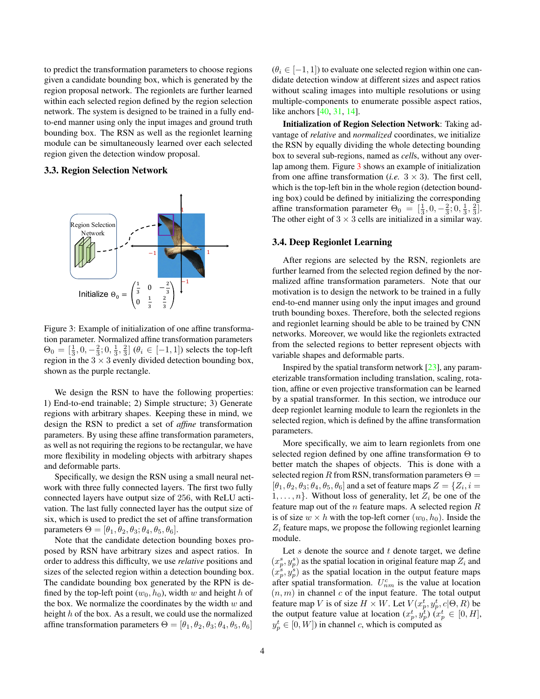<span id="page-3-2"></span>to predict the transformation parameters to choose regions given a candidate bounding box, which is generated by the region proposal network. The regionlets are further learned within each selected region defined by the region selection network. The system is designed to be trained in a fully endto-end manner using only the input images and ground truth bounding box. The RSN as well as the regionlet learning module can be simultaneously learned over each selected region given the detection window proposal.

#### <span id="page-3-1"></span>3.3. Region Selection Network

<span id="page-3-0"></span>

Figure 3: Example of initialization of one affine transformation parameter. Normalized affine transformation parameters  $\Theta_0 = \left[\frac{1}{3}, 0, -\frac{2}{3}; 0, \frac{1}{3}, \frac{2}{3}\right]$  ( $\theta_i \in \left[-1, 1\right]$ ) selects the top-left region in the  $3 \times 3$  evenly divided detection bounding box, shown as the purple rectangle.

We design the RSN to have the following properties: 1) End-to-end trainable; 2) Simple structure; 3) Generate regions with arbitrary shapes. Keeping these in mind, we design the RSN to predict a set of *affine* transformation parameters. By using these affine transformation parameters, as well as not requiring the regions to be rectangular, we have more flexibility in modeling objects with arbitrary shapes and deformable parts.

Specifically, we design the RSN using a small neural network with three fully connected layers. The first two fully connected layers have output size of 256, with ReLU activation. The last fully connected layer has the output size of six, which is used to predict the set of affine transformation parameters  $\Theta = [\theta_1, \theta_2, \theta_3; \theta_4, \theta_5, \theta_6].$ 

Note that the candidate detection bounding boxes proposed by RSN have arbitrary sizes and aspect ratios. In order to address this difficulty, we use *relative* positions and sizes of the selected region within a detection bounding box. The candidate bounding box generated by the RPN is defined by the top-left point  $(w_0, h_0)$ , width w and height h of the box. We normalize the coordinates by the width  $w$  and height  $h$  of the box. As a result, we could use the normalized affine transformation parameters  $\Theta = [\theta_1, \theta_2, \theta_3; \theta_4, \theta_5, \theta_6]$ 

 $(\theta_i \in [-1, 1])$  to evaluate one selected region within one candidate detection window at different sizes and aspect ratios without scaling images into multiple resolutions or using multiple-components to enumerate possible aspect ratios, like anchors [\[40,](#page-10-1) [31,](#page-10-11) [14\]](#page-9-19).

Initialization of Region Selection Network: Taking advantage of *relative* and *normalized* coordinates, we initialize the RSN by equally dividing the whole detecting bounding box to several sub-regions, named as *cell*s, without any overlap among them. Figure [3](#page-3-0) shows an example of initialization from one affine transformation (*i.e.*  $3 \times 3$ ). The first cell, which is the top-left bin in the whole region (detection bounding box) could be defined by initializing the corresponding affine transformation parameter  $\Theta_0 = [\frac{1}{3}, 0, -\frac{2}{3}; 0, \frac{1}{3}, \frac{2}{3}]$ . The other eight of  $3 \times 3$  cells are initialized in a similar way.

# 3.4. Deep Regionlet Learning

After regions are selected by the RSN, regionlets are further learned from the selected region defined by the normalized affine transformation parameters. Note that our motivation is to design the network to be trained in a fully end-to-end manner using only the input images and ground truth bounding boxes. Therefore, both the selected regions and regionlet learning should be able to be trained by CNN networks. Moreover, we would like the regionlets extracted from the selected regions to better represent objects with variable shapes and deformable parts.

Inspired by the spatial transform network  $[23]$ , any parameterizable transformation including translation, scaling, rotation, affine or even projective transformation can be learned by a spatial transformer. In this section, we introduce our deep regionlet learning module to learn the regionlets in the selected region, which is defined by the affine transformation parameters.

More specifically, we aim to learn regionlets from one selected region defined by one affine transformation  $\Theta$  to better match the shapes of objects. This is done with a selected region R from RSN, transformation parameters  $\Theta =$  $[\theta_1, \theta_2, \theta_3; \theta_4, \theta_5, \theta_6]$  and a set of feature maps  $Z = \{Z_i, i = 1\}$  $1, \ldots, n$ . Without loss of generality, let  $Z_i$  be one of the feature map out of the  $n$  feature maps. A selected region  $R$ is of size  $w \times h$  with the top-left corner  $(w_0, h_0)$ . Inside the  $Z_i$  feature maps, we propose the following regionlet learning module.

Let  $s$  denote the source and  $t$  denote target, we define  $(x_p^s, y_p^s)$  as the spatial location in original feature map  $Z_i$  and  $(x_p^s, y_p^s)$  as the spatial location in the output feature maps after spatial transformation.  $U_{nm}^c$  is the value at location  $(n, m)$  in channel  $c$  of the input feature. The total output feature map V is of size  $H \times W$ . Let  $V(x_p^t, y_p^t, c | \Theta, R)$  be the output feature value at location  $(x_p^t, y_p^t)$   $(x_p^t \in [0, H],$  $y_p^t \in [0, W]$ ) in channel c, which is computed as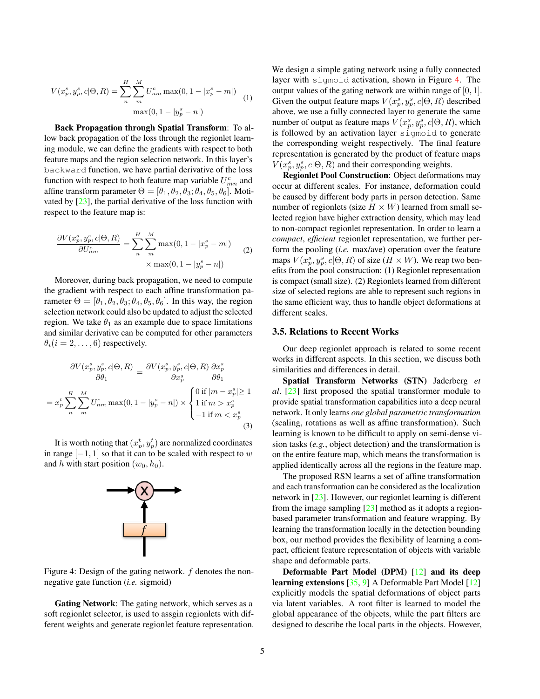<span id="page-4-2"></span>
$$
V(x_p^s, y_p^s, c | \Theta, R) = \sum_{n}^{H} \sum_{m}^{M} U_{nm}^c \max(0, 1 - |x_p^s - m|)
$$
  

$$
\max(0, 1 - |y_p^s - n|)
$$
 (1)

Back Propagation through Spatial Transform: To allow back propagation of the loss through the regionlet learning module, we can define the gradients with respect to both feature maps and the region selection network. In this layer's backward function, we have partial derivative of the loss function with respect to both feature map variable  $U_{mn}^c$  and affine transform parameter  $\Theta = [\theta_1, \theta_2, \theta_3; \theta_4, \theta_5, \theta_6]$ . Motivated by [\[23\]](#page-9-22), the partial derivative of the loss function with respect to the feature map is:

$$
\frac{\partial V(x_p^s, y_p^s, c | \Theta, R)}{\partial U_{nm}^c} = \sum_{n}^{H} \sum_{m}^{M} \max(0, 1 - |x_p^s - m|)
$$
  
× max(0, 1 - |y\_p^s - n|) (2)

Moreover, during back propagation, we need to compute the gradient with respect to each affine transformation parameter  $\Theta = [\theta_1, \theta_2, \theta_3; \theta_4, \theta_5, \theta_6]$ . In this way, the region selection network could also be updated to adjust the selected region. We take  $\theta_1$  as an example due to space limitations and similar derivative can be computed for other parameters  $\theta_i (i = 2, \ldots, 6)$  respectively.

$$
\frac{\partial V(x_p^s, y_p^s, c | \Theta, R)}{\partial \theta_1} = \frac{\partial V(x_p^s, y_p^s, c | \Theta, R)}{\partial x_p^s} \frac{\partial x_p^s}{\partial \theta_1}
$$

$$
= x_p^t \sum_n \sum_m U_{nm}^c \max(0, 1 - |y_p^s - n|) \times \begin{cases} 0 \text{ if } |m - x_p^s| \ge 1\\ 1 \text{ if } m > x_p^s\\ -1 \text{ if } m < x_p^s \end{cases}
$$
(3)

<span id="page-4-0"></span>It is worth noting that  $(x_p^t, y_p^t)$  are normalized coordinates in range  $[-1, 1]$  so that it can to be scaled with respect to w and h with start position  $(w_0, h_0)$ .



Figure 4: Design of the gating network.  $f$  denotes the nonnegative gate function (*i.e.* sigmoid)

Gating Network: The gating network, which serves as a soft regionlet selector, is used to assgin regionlets with different weights and generate regionlet feature representation. We design a simple gating network using a fully connected layer with sigmoid activation, shown in Figure [4.](#page-4-0) The output values of the gating network are within range of  $[0, 1]$ . Given the output feature maps  $V(x_p^s, y_p^s, c | \Theta, R)$  described above, we use a fully connected layer to generate the same number of output as feature maps  $V(x_p^s, y_p^s, c | \Theta, R)$ , which is followed by an activation layer sigmoid to generate the corresponding weight respectively. The final feature representation is generated by the product of feature maps  $V(x_p^s, y_p^s, c | \Theta, R)$  and their corresponding weights.

Regionlet Pool Construction: Object deformations may occur at different scales. For instance, deformation could be caused by different body parts in person detection. Same number of regionlets (size  $H \times W$ ) learned from small selected region have higher extraction density, which may lead to non-compact regionlet representation. In order to learn a *compact*, *efficient* regionlet representation, we further perform the pooling (*i.e.* max/ave) operation over the feature maps  $V(x_p^s, y_p^s, c | \Theta, R)$  of size  $(H \times W)$ . We reap two benefits from the pool construction: (1) Regionlet representation is compact (small size). (2) Regionlets learned from different size of selected regions are able to represent such regions in the same efficient way, thus to handle object deformations at different scales.

#### <span id="page-4-1"></span>3.5. Relations to Recent Works

Our deep regionlet approach is related to some recent works in different aspects. In this section, we discuss both similarities and differences in detail.

Spatial Transform Networks (STN) Jaderberg *et al*. [\[23\]](#page-9-22) first proposed the spatial transformer module to provide spatial transformation capabilities into a deep neural network. It only learns *one global parametric transformation* (scaling, rotations as well as affine transformation). Such learning is known to be difficult to apply on semi-dense vision tasks (*e.g.*, object detection) and the transformation is on the entire feature map, which means the transformation is applied identically across all the regions in the feature map.

The proposed RSN learns a set of affine transformation and each transformation can be considered as the localization network in [\[23\]](#page-9-22). However, our regionlet learning is different from the image sampling  $\lceil 23 \rceil$  method as it adopts a regionbased parameter transformation and feature wrapping. By learning the transformation locally in the detection bounding box, our method provides the flexibility of learning a compact, efficient feature representation of objects with variable shape and deformable parts.

Deformable Part Model (DPM) [\[12\]](#page-9-16) and its deep learning extensions [\[35,](#page-10-13) [9\]](#page-9-11) A Deformable Part Model [\[12\]](#page-9-16) explicitly models the spatial deformations of object parts via latent variables. A root filter is learned to model the global appearance of the objects, while the part filters are designed to describe the local parts in the objects. However,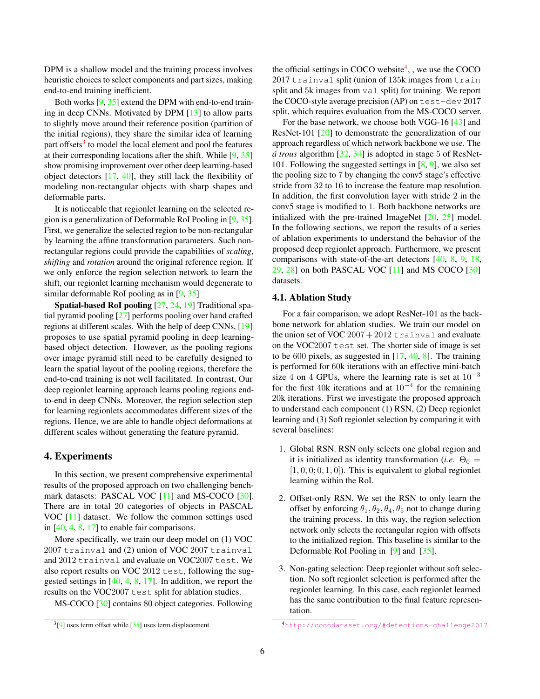<span id="page-5-3"></span>DPM is a shallow model and the training process involves heuristic choices to select components and part sizes, making end-to-end training inefficient.

Both works [\[9,](#page-9-11) [35\]](#page-10-13) extend the DPM with end-to-end training in deep CNNs. Motivated by DPM [\[13\]](#page-9-6) to allow parts to slightly move around their reference position (partition of the initial regions), they share the similar idea of learning part offsets<sup>[3](#page-5-0)</sup> to model the local element and pool the features at their corresponding locations after the shift. While [\[9,](#page-9-11) [35\]](#page-10-13) show promising improvement over other deep learning-based object detectors [\[17,](#page-9-3) [40\]](#page-10-1), they still lack the flexibility of modeling non-rectangular objects with sharp shapes and deformable parts.

It is noticeable that regionlet learning on the selected region is a generalization of Deformable RoI Pooling in [\[9,](#page-9-11) [35\]](#page-10-13). First, we generalize the selected region to be non-rectangular by learning the affine transformation parameters. Such nonrectangular regions could provide the capabilities of *scaling*, *shifting* and *rotation* around the original reference region. If we only enforce the region selection network to learn the shift, our regionlet learning mechanism would degenerate to similar deformable RoI pooling as in [\[9,](#page-9-11) [35\]](#page-10-13)

Spatial-based RoI pooling [\[27,](#page-10-26) [24,](#page-9-23) [19\]](#page-9-14) Traditional spatial pyramid pooling [\[27\]](#page-10-26) performs pooling over hand crafted regions at different scales. With the help of deep CNNs, [\[19\]](#page-9-14) proposes to use spatial pyramid pooling in deep learningbased object detection. However, as the pooling regions over image pyramid still need to be carefully designed to learn the spatial layout of the pooling regions, therefore the end-to-end training is not well facilitated. In contrast, Our deep regionlet learning approach learns pooling regions endto-end in deep CNNs. Moreover, the region selection step for learning regionlets accommodates different sizes of the regions. Hence, we are able to handle object deformations at different scales without generating the feature pyramid.

# 4. Experiments

In this section, we present comprehensive experimental results of the proposed approach on two challenging bench-mark datasets: PASCAL VOC [\[11\]](#page-9-12) and MS-COCO [\[30\]](#page-10-14). There are in total 20 categories of objects in PASCAL VOC [\[11\]](#page-9-12) dataset. We follow the common settings used in [\[40,](#page-10-1) [4,](#page-9-1) [8,](#page-9-4) [17\]](#page-9-3) to enable fair comparisons.

More specifically, we train our deep model on (1) VOC 2007 trainval and (2) union of VOC 2007 trainval and 2012 trainval and evaluate on VOC2007 test. We also report results on VOC 2012 test, following the suggested settings in [\[40,](#page-10-1) [4,](#page-9-1) [8,](#page-9-4) [17\]](#page-9-3). In addition, we report the results on the VOC2007 test split for ablation studies.

MS-COCO [\[30\]](#page-10-14) contains 80 object categories. Following

the official settings in COCO website<sup>[4](#page-5-1)</sup>, , we use the COCO 2017 trainval split (union of 135k images from train split and 5k images from val split) for training. We report the COCO-style average precision (AP) on test-dev 2017 split, which requires evaluation from the MS-COCO server.

For the base network, we choose both VGG-16 [\[43\]](#page-10-20) and ResNet-101 [\[20\]](#page-9-10) to demonstrate the generalization of our approach regardless of which network backbone we use. The *á trous* algorithm [\[32,](#page-10-10) [34\]](#page-10-27) is adopted in stage 5 of ResNet-101. Following the suggested settings in [\[8,](#page-9-4) [9\]](#page-9-11), we also set the pooling size to 7 by changing the conv5 stage's effective stride from 32 to 16 to increase the feature map resolution. In addition, the first convolution layer with stride 2 in the conv5 stage is modified to 1. Both backbone networks are intialized with the pre-trained ImageNet [\[20,](#page-9-10) [25\]](#page-9-9) model. In the following sections, we report the results of a series of ablation experiments to understand the behavior of the proposed deep regionlet approach. Furthermore, we present comparisons with state-of-the-art detectors [\[40,](#page-10-1) [8,](#page-9-4) [9,](#page-9-11) [18,](#page-9-13) [29,](#page-10-3) [28\]](#page-10-25) on both PASCAL VOC [\[11\]](#page-9-12) and MS COCO [\[30\]](#page-10-14) datasets.

#### <span id="page-5-2"></span>4.1. Ablation Study

For a fair comparison, we adopt ResNet-101 as the backbone network for ablation studies. We train our model on the union set of VOC  $2007 + 2012$  trainval and evaluate on the VOC2007 test set. The shorter side of image is set to be 600 pixels, as suggested in  $[17, 40, 8]$  $[17, 40, 8]$  $[17, 40, 8]$  $[17, 40, 8]$  $[17, 40, 8]$ . The training is performed for 60k iterations with an effective mini-batch size 4 on 4 GPUs, where the learning rate is set at  $10^{-3}$ for the first 40k iterations and at  $10^{-4}$  for the remaining 20k iterations. First we investigate the proposed approach to understand each component (1) RSN, (2) Deep regionlet learning and (3) Soft regionlet selection by comparing it with several baselines:

- 1. Global RSN. RSN only selects one global region and it is initialized as identity transformation (*i.e.*  $\Theta_0 =$  $[1, 0, 0; 0, 1, 0]$ . This is equivalent to global regionlet learning within the RoI.
- 2. Offset-only RSN. We set the RSN to only learn the offset by enforcing  $\theta_1$ ,  $\theta_2$ ,  $\theta_4$ ,  $\theta_5$  not to change during the training process. In this way, the region selection network only selects the rectangular region with offsets to the initialized region. This baseline is similar to the Deformable RoI Pooling in [\[9\]](#page-9-11) and [\[35\]](#page-10-13).
- 3. Non-gating selection: Deep regionlet without soft selection. No soft regionlet selection is performed after the regionlet learning. In this case, each regionlet learned has the same contribution to the final feature representation.

<span id="page-5-0"></span> $3[9]$  $3[9]$  uses term offset while  $[35]$  uses term displacement

<span id="page-5-1"></span><sup>4</sup><http://cocodataset.org/#detections-challenge2017>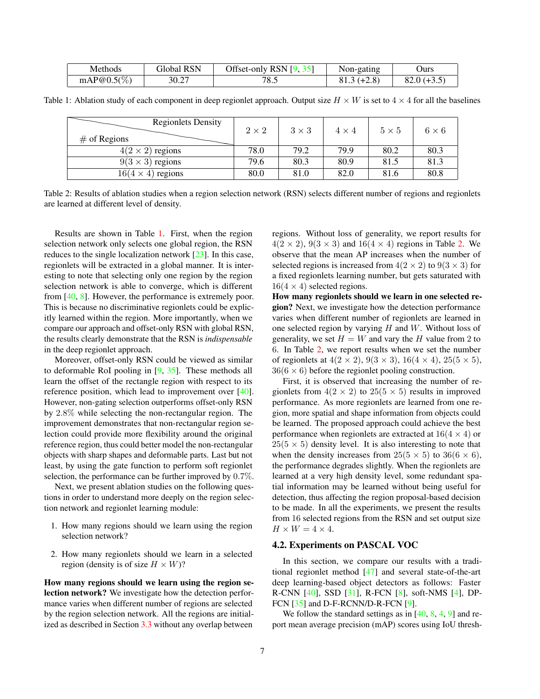<span id="page-6-2"></span><span id="page-6-0"></span>

| Methods        | Global RSN | Offset-only RSN $[9, 35]$ | Non-gating    | Jurs          |
|----------------|------------|---------------------------|---------------|---------------|
| mAP@ $0.5(\%)$ | 30.27      | 78.5                      | $81.3 (+2.8)$ | $82.0 (+3.5)$ |

<span id="page-6-1"></span>Table 1: Ablation study of each component in deep regionlet approach. Output size  $H \times W$  is set to  $4 \times 4$  for all the baselines

| <b>Regionlets Density</b> |              |              |              |              |              |
|---------------------------|--------------|--------------|--------------|--------------|--------------|
|                           | $2 \times 2$ | $3 \times 3$ | $4 \times 4$ | $5 \times 5$ | $6 \times 6$ |
| $#$ of Regions            |              |              |              |              |              |
| $4(2 \times 2)$ regions   | 78.0         | 79.2         | 79.9         | 80.2         | 80.3         |
| $9(3 \times 3)$ regions   | 79.6         | 80.3         | 80.9         | 81.5         | 81.3         |
| $16(4 \times 4)$ regions  | 80.0         | 81.0         | 82.0         | 81.6         | 80.8         |

Table 2: Results of ablation studies when a region selection network (RSN) selects different number of regions and regionlets are learned at different level of density.

Results are shown in Table [1.](#page-6-0) First, when the region selection network only selects one global region, the RSN reduces to the single localization network [\[23\]](#page-9-22). In this case, regionlets will be extracted in a global manner. It is interesting to note that selecting only one region by the region selection network is able to converge, which is different from [\[40,](#page-10-1) [8\]](#page-9-4). However, the performance is extremely poor. This is because no discriminative regionlets could be explicitly learned within the region. More importantly, when we compare our approach and offset-only RSN with global RSN, the results clearly demonstrate that the RSN is *indispensable* in the deep regionlet approach.

Moreover, offset-only RSN could be viewed as similar to deformable RoI pooling in [\[9,](#page-9-11) [35\]](#page-10-13). These methods all learn the offset of the rectangle region with respect to its reference position, which lead to improvement over [\[40\]](#page-10-1). However, non-gating selection outperforms offset-only RSN by 2.8% while selecting the non-rectangular region. The improvement demonstrates that non-rectangular region selection could provide more flexibility around the original reference region, thus could better model the non-rectangular objects with sharp shapes and deformable parts. Last but not least, by using the gate function to perform soft regionlet selection, the performance can be further improved by 0.7%.

Next, we present ablation studies on the following questions in order to understand more deeply on the region selection network and regionlet learning module:

- 1. How many regions should we learn using the region selection network?
- 2. How many regionlets should we learn in a selected region (density is of size  $H \times W$ )?

How many regions should we learn using the region selection network? We investigate how the detection performance varies when different number of regions are selected by the region selection network. All the regions are initialized as described in Section [3.3](#page-3-1) without any overlap between

regions. Without loss of generality, we report results for  $4(2 \times 2)$ ,  $9(3 \times 3)$  and  $16(4 \times 4)$  regions in Table [2.](#page-6-1) We observe that the mean AP increases when the number of selected regions is increased from  $4(2 \times 2)$  to  $9(3 \times 3)$  for a fixed regionlets learning number, but gets saturated with  $16(4 \times 4)$  selected regions.

How many regionlets should we learn in one selected region? Next, we investigate how the detection performance varies when different number of regionlets are learned in one selected region by varying  $H$  and  $W$ . Without loss of generality, we set  $H = W$  and vary the H value from 2 to 6. In Table [2,](#page-6-1) we report results when we set the number of regionlets at  $4(2 \times 2)$ ,  $9(3 \times 3)$ ,  $16(4 \times 4)$ ,  $25(5 \times 5)$ ,  $36(6 \times 6)$  before the regionlet pooling construction.

First, it is observed that increasing the number of regionlets from  $4(2 \times 2)$  to  $25(5 \times 5)$  results in improved performance. As more regionlets are learned from one region, more spatial and shape information from objects could be learned. The proposed approach could achieve the best performance when regionlets are extracted at  $16(4 \times 4)$  or  $25(5 \times 5)$  density level. It is also interesting to note that when the density increases from  $25(5 \times 5)$  to  $36(6 \times 6)$ , the performance degrades slightly. When the regionlets are learned at a very high density level, some redundant spatial information may be learned without being useful for detection, thus affecting the region proposal-based decision to be made. In all the experiments, we present the results from 16 selected regions from the RSN and set output size  $H \times W = 4 \times 4$ .

#### 4.2. Experiments on PASCAL VOC

In this section, we compare our results with a traditional regionlet method [\[47\]](#page-10-4) and several state-of-the-art deep learning-based object detectors as follows: Faster R-CNN [\[40\]](#page-10-1), SSD [\[31\]](#page-10-11), R-FCN [\[8\]](#page-9-4), soft-NMS [\[4\]](#page-9-1), DP-FCN [\[35\]](#page-10-13) and D-F-RCNN/D-R-FCN [\[9\]](#page-9-11).

We follow the standard settings as in  $[40, 8, 4, 9]$  $[40, 8, 4, 9]$  $[40, 8, 4, 9]$  $[40, 8, 4, 9]$  $[40, 8, 4, 9]$  $[40, 8, 4, 9]$  $[40, 8, 4, 9]$  and report mean average precision (mAP) scores using IoU thresh-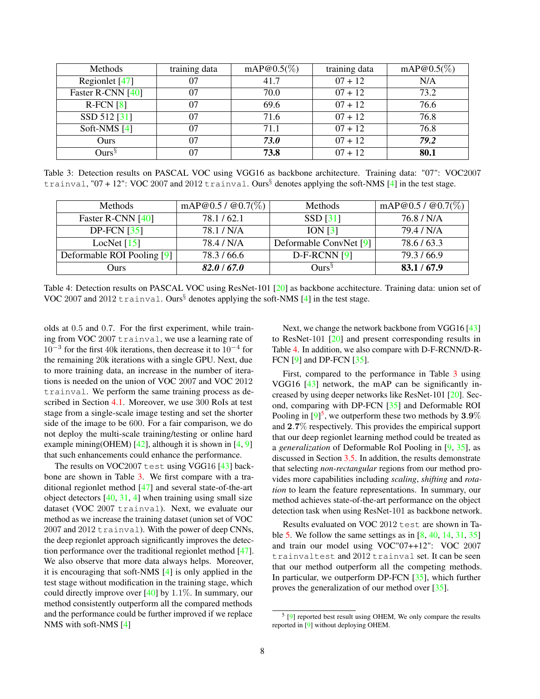<span id="page-7-3"></span><span id="page-7-0"></span>

| Methods           | training data | $mAP@0.5(\%)$ | training data | $mAP@0.5(\%)$ |
|-------------------|---------------|---------------|---------------|---------------|
| Regionlet [47]    | 07            | 41.7          | $07 + 12$     | N/A           |
| Faster R-CNN [40] | 07            | 70.0          | $07 + 12$     | 73.2          |
| $R$ -FCN $[8]$    | 07            | 69.6          | $07 + 12$     | 76.6          |
| SSD 512 [31]      | 07            | 71.6          | $07 + 12$     | 76.8          |
| Soft-NMS $[4]$    | 07            | 71.1          | $07 + 12$     | 76.8          |
| Ours              | 07            | 73.0          | $07 + 12$     | 79.2          |
| Ours <sup>9</sup> | 07            | 73.8          | $07 + 12$     | 80.1          |

Table 3: Detection results on PASCAL VOC using VGG16 as backbone architecture. Training data: "07": VOC2007 trainval, "07 + 12": VOC 2007 and 2012 trainval. Ours<sup>§</sup> denotes applying the soft-NMS [\[4\]](#page-9-1) in the test stage.

<span id="page-7-1"></span>

| <b>Methods</b>             | mAP@0.5 / @0.7(%) | <b>Methods</b>         | mAP@0.5 / @0.7(%) |
|----------------------------|-------------------|------------------------|-------------------|
| Faster R-CNN [40]          | 78.1/62.1         | $SSD$ [31]             | 76.8 / N/A        |
| $DP-FCN [35]$              | 78.1 / N/A        | ION $\lceil 3 \rceil$  | 79.4 / N/A        |
| LocNet $[15]$              | 78.4 / N/A        | Deformable ConvNet [9] | 78.6/63.3         |
| Deformable ROI Pooling [9] | 78.3/66.6         | $D-F-RCNN[9]$          | 79.3/66.9         |
| Ours                       | 82.0 / 67.0       | $\rm Ours^3$           | 83.1 / 67.9       |

Table 4: Detection results on PASCAL VOC using ResNet-101 [\[20\]](#page-9-10) as backbone acchitecture. Training data: union set of VOC 2007 and 2012 trainval. Ours<sup>§</sup> denotes applying the soft-NMS [\[4\]](#page-9-1) in the test stage.

olds at 0.5 and 0.7. For the first experiment, while training from VOC 2007 trainval, we use a learning rate of  $10^{-3}$  for the first 40k iterations, then decrease it to  $10^{-4}$  for the remaining 20k iterations with a single GPU. Next, due to more training data, an increase in the number of iterations is needed on the union of VOC 2007 and VOC 2012 trainval. We perform the same training process as described in Section [4.1.](#page-5-2) Moreover, we use 300 RoIs at test stage from a single-scale image testing and set the shorter side of the image to be 600. For a fair comparison, we do not deploy the multi-scale training/testing or online hard example mining(OHEM) [\[42\]](#page-10-28), although it is shown in [\[4,](#page-9-1) [9\]](#page-9-11) that such enhancements could enhance the performance.

The results on VOC2007 test using VGG16 [\[43\]](#page-10-20) backbone are shown in Table [3.](#page-7-0) We first compare with a traditional regionlet method [\[47\]](#page-10-4) and several state-of-the-art object detectors  $[40, 31, 4]$  $[40, 31, 4]$  $[40, 31, 4]$  $[40, 31, 4]$  $[40, 31, 4]$  when training using small size dataset (VOC 2007 trainval). Next, we evaluate our method as we increase the training dataset (union set of VOC 2007 and 2012 trainval). With the power of deep CNNs, the deep regionlet approach significantly improves the detection performance over the traditional regionlet method [\[47\]](#page-10-4). We also observe that more data always helps. Moreover, it is encouraging that soft-NMS [\[4\]](#page-9-1) is only applied in the test stage without modification in the training stage, which could directly improve over  $[40]$  by 1.1%. In summary, our method consistently outperform all the compared methods and the performance could be further improved if we replace NMS with soft-NMS [\[4\]](#page-9-1)

Next, we change the network backbone from VGG16 [\[43\]](#page-10-20) to ResNet-101 [\[20\]](#page-9-10) and present corresponding results in Table [4.](#page-7-1) In addition, we also compare with D-F-RCNN/D-R-FCN [\[9\]](#page-9-11) and DP-FCN [\[35\]](#page-10-13).

First, compared to the performance in Table [3](#page-7-0) using VGG16 [\[43\]](#page-10-20) network, the mAP can be significantly increased by using deeper networks like ResNet-101 [\[20\]](#page-9-10). Second, comparing with DP-FCN [\[35\]](#page-10-13) and Deformable ROI Pooling in  $[9]^5$  $[9]^5$  $[9]^5$ , we outperform these two methods by  $3.9\%$ and 2.7% respectively. This provides the empirical support that our deep regionlet learning method could be treated as a *generalization* of Deformable RoI Pooling in [\[9,](#page-9-11) [35\]](#page-10-13), as discussed in Section [3.5.](#page-4-1) In addition, the results demonstrate that selecting *non-rectangular* regions from our method provides more capabilities including *scaling*, *shifting* and *rotation* to learn the feature representations. In summary, our method achieves state-of-the-art performance on the object detection task when using ResNet-101 as backbone network.

Results evaluated on VOC 2012 test are shown in Ta-ble [5.](#page-8-0) We follow the same settings as in  $[8, 40, 14, 31, 35]$  $[8, 40, 14, 31, 35]$  $[8, 40, 14, 31, 35]$  $[8, 40, 14, 31, 35]$  $[8, 40, 14, 31, 35]$  $[8, 40, 14, 31, 35]$  $[8, 40, 14, 31, 35]$  $[8, 40, 14, 31, 35]$  $[8, 40, 14, 31, 35]$ and train our model using VOC"07++12": VOC 2007 trainvaltest and 2012 trainval set. It can be seen that our method outperform all the competing methods. In particular, we outperform DP-FCN [\[35\]](#page-10-13), which further proves the generalization of our method over [\[35\]](#page-10-13).

<span id="page-7-2"></span> $<sup>5</sup>$  [\[9\]](#page-9-11) reported best result using OHEM, We only compare the results</sup> reported in [\[9\]](#page-9-11) without deploying OHEM.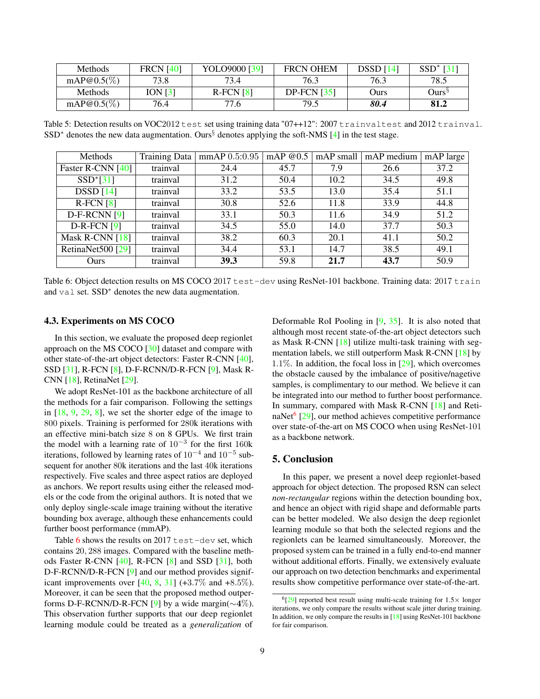<span id="page-8-3"></span><span id="page-8-0"></span>

| Methods        | <b>FRCN</b> [40]   | YOLO9000 [39]  | <b>FRCN OHEM</b> | $DSSD$ [14] | $SSD^*$ [31]      |
|----------------|--------------------|----------------|------------------|-------------|-------------------|
| mAP@0.5(%)     | 73.8               | 73.4           | 76.3             | 76.3        | 78.5              |
| <b>Methods</b> | ION <sub>131</sub> | $R$ -FCN $[8]$ | $DP-FCN [35]$    | Ours        | Ours <sup>3</sup> |
| mAP@0.5(%)     | 76.4               | 77.6           | 79.5             | 80.4        | 81.2              |

Table 5: Detection results on VOC2012 test set using training data "07++12": 2007 trainvaltest and 2012 trainval. SSD<sup>∗</sup> denotes the new data augmentation. Ours<sup>§</sup> denotes applying the soft-NMS  $[4]$  in the test stage.

<span id="page-8-1"></span>

| Methods                      | <b>Training Data</b> | mmAP 0.5:0.95 | mAP $@0.5$ | mAP small | mAP medium | mAP large |
|------------------------------|----------------------|---------------|------------|-----------|------------|-----------|
| Faster R-CNN $[40]$          | trainval             | 24.4          | 45.7       | 7.9       | 26.6       | 37.2      |
| $SSD*[31]$                   | trainval             | 31.2          | 50.4       | 10.2      | 34.5       | 49.8      |
| DSSD[14]                     | trainval             | 33.2          | 53.5       | 13.0      | 35.4       | 51.1      |
| $R$ -FCN $[8]$               | trainval             | 30.8          | 52.6       | 11.8      | 33.9       | 44.8      |
| $D-F-RCNN[9]$                | trainval             | 33.1          | 50.3       | 11.6      | 34.9       | 51.2      |
| $D-R-FCN[9]$                 | trainval             | 34.5          | 55.0       | 14.0      | 37.7       | 50.3      |
| Mask R-CNN $[18]$            | trainval             | 38.2          | 60.3       | 20.1      | 41.1       | 50.2      |
| RetinaNet500 <sup>[29]</sup> | trainval             | 34.4          | 53.1       | 14.7      | 38.5       | 49.1      |
| <b>Ours</b>                  | trainval             | 39.3          | 59.8       | 21.7      | 43.7       | 50.9      |

Table 6: Object detection results on MS COCO 2017 test-dev using ResNet-101 backbone. Training data: 2017 train and val set. SSD<sup>∗</sup> denotes the new data augmentation.

#### 4.3. Experiments on MS COCO

In this section, we evaluate the proposed deep regionlet approach on the MS COCO [\[30\]](#page-10-14) dataset and compare with other state-of-the-art object detectors: Faster R-CNN [\[40\]](#page-10-1), SSD [\[31\]](#page-10-11), R-FCN [\[8\]](#page-9-4), D-F-RCNN/D-R-FCN [\[9\]](#page-9-11), Mask R-CNN [\[18\]](#page-9-13), RetinaNet [\[29\]](#page-10-3).

We adopt ResNet-101 as the backbone architecture of all the methods for a fair comparison. Following the settings in  $[18, 9, 29, 8]$  $[18, 9, 29, 8]$  $[18, 9, 29, 8]$  $[18, 9, 29, 8]$  $[18, 9, 29, 8]$  $[18, 9, 29, 8]$  $[18, 9, 29, 8]$ , we set the shorter edge of the image to 800 pixels. Training is performed for 280k iterations with an effective mini-batch size 8 on 8 GPUs. We first train the model with a learning rate of  $10^{-3}$  for the first 160k iterations, followed by learning rates of  $10^{-4}$  and  $10^{-5}$  subsequent for another 80k iterations and the last 40k iterations respectively. Five scales and three aspect ratios are deployed as anchors. We report results using either the released models or the code from the original authors. It is noted that we only deploy single-scale image training without the iterative bounding box average, although these enhancements could further boost performance (mmAP).

Table [6](#page-8-1) shows the results on 2017  $test-dev$  set, which contains 20, 288 images. Compared with the baseline methods Faster R-CNN [\[40\]](#page-10-1), R-FCN [\[8\]](#page-9-4) and SSD [\[31\]](#page-10-11), both D-F-RCNN/D-R-FCN [\[9\]](#page-9-11) and our method provides significant improvements over  $[40, 8, 31]$  $[40, 8, 31]$  $[40, 8, 31]$  $[40, 8, 31]$  $[40, 8, 31]$  (+3.7% and +8.5%). Moreover, it can be seen that the proposed method outper-forms D-F-RCNN/D-R-FCN [\[9\]](#page-9-11) by a wide margin( $\sim$ 4\%). This observation further supports that our deep regionlet learning module could be treated as a *generalization* of Deformable RoI Pooling in [\[9,](#page-9-11) [35\]](#page-10-13). It is also noted that although most recent state-of-the-art object detectors such as Mask R-CNN [\[18\]](#page-9-13) utilize multi-task training with segmentation labels, we still outperform Mask R-CNN [\[18\]](#page-9-13) by 1.1%. In addition, the focal loss in  $[29]$ , which overcomes the obstacle caused by the imbalance of positive/nagetive samples, is complimentary to our method. We believe it can be integrated into our method to further boost performance. In summary, compared with Mask R-CNN [\[18\]](#page-9-13) and Reti-naNet<sup>[6](#page-8-2)</sup> [\[29\]](#page-10-3), our method achieves competitive performance over state-of-the-art on MS COCO when using ResNet-101 as a backbone network.

# 5. Conclusion

In this paper, we present a novel deep regionlet-based approach for object detection. The proposed RSN can select *non-rectangular* regions within the detection bounding box, and hence an object with rigid shape and deformable parts can be better modeled. We also design the deep regionlet learning module so that both the selected regions and the regionlets can be learned simultaneously. Moreover, the proposed system can be trained in a fully end-to-end manner without additional efforts. Finally, we extensively evaluate our approach on two detection benchmarks and experimental results show competitive performance over state-of-the-art.

<span id="page-8-2"></span> $6[29]$  $6[29]$  reported best result using multi-scale training for  $1.5 \times$  longer iterations, we only compare the results without scale jitter during training. In addition, we only compare the results in [\[18\]](#page-9-13) using ResNet-101 backbone for fair comparison.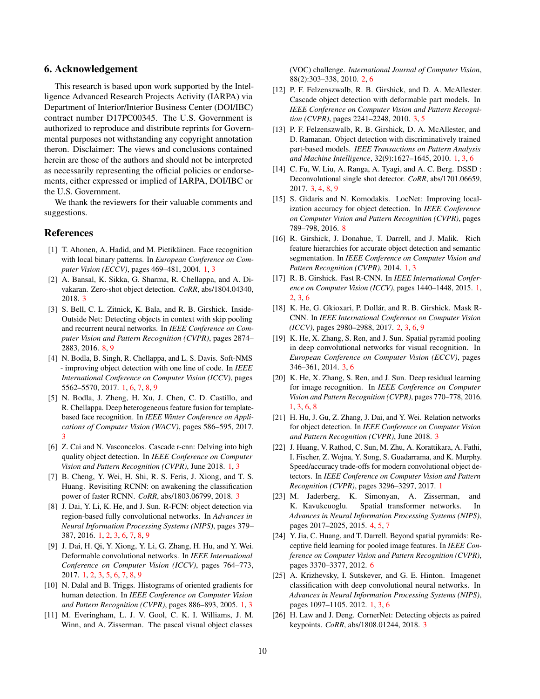# 6. Acknowledgement

This research is based upon work supported by the Intelligence Advanced Research Projects Activity (IARPA) via Department of Interior/Interior Business Center (DOI/IBC) contract number D17PC00345. The U.S. Government is authorized to reproduce and distribute reprints for Governmental purposes not withstanding any copyright annotation theron. Disclaimer: The views and conclusions contained herein are those of the authors and should not be interpreted as necessarily representing the official policies or endorsements, either expressed or implied of IARPA, DOI/IBC or the U.S. Government.

We thank the reviewers for their valuable comments and suggestions.

# References

- <span id="page-9-8"></span>[1] T. Ahonen, A. Hadid, and M. Pietikäinen. Face recognition with local binary patterns. In *European Conference on Computer Vision (ECCV)*, pages 469–481, 2004. [1,](#page-0-0) [3](#page-2-2)
- <span id="page-9-18"></span>[2] A. Bansal, K. Sikka, G. Sharma, R. Chellappa, and A. Divakaran. Zero-shot object detection. *CoRR*, abs/1804.04340, 2018. [3](#page-2-2)
- <span id="page-9-24"></span>[3] S. Bell, C. L. Zitnick, K. Bala, and R. B. Girshick. Inside-Outside Net: Detecting objects in context with skip pooling and recurrent neural networks. In *IEEE Conference on Computer Vision and Pattern Recognition (CVPR)*, pages 2874– 2883, 2016. [8,](#page-7-3) [9](#page-8-3)
- <span id="page-9-1"></span>[4] N. Bodla, B. Singh, R. Chellappa, and L. S. Davis. Soft-NMS - improving object detection with one line of code. In *IEEE International Conference on Computer Vision (ICCV)*, pages 5562–5570, 2017. [1,](#page-0-0) [6,](#page-5-3) [7,](#page-6-2) [8,](#page-7-3) [9](#page-8-3)
- <span id="page-9-17"></span>[5] N. Bodla, J. Zheng, H. Xu, J. Chen, C. D. Castillo, and R. Chellappa. Deep heterogeneous feature fusion for templatebased face recognition. In *IEEE Winter Conference on Applications of Computer Vision (WACV)*, pages 586–595, 2017. [3](#page-2-2)
- <span id="page-9-7"></span>[6] Z. Cai and N. Vasconcelos. Cascade r-cnn: Delving into high quality object detection. In *IEEE Conference on Computer Vision and Pattern Recognition (CVPR)*, June 2018. [1,](#page-0-0) [3](#page-2-2)
- <span id="page-9-21"></span>[7] B. Cheng, Y. Wei, H. Shi, R. S. Feris, J. Xiong, and T. S. Huang. Revisiting RCNN: on awakening the classification power of faster RCNN. *CoRR*, abs/1803.06799, 2018. [3](#page-2-2)
- <span id="page-9-4"></span>[8] J. Dai, Y. Li, K. He, and J. Sun. R-FCN: object detection via region-based fully convolutional networks. In *Advances in Neural Information Processing Systems (NIPS)*, pages 379– 387, 2016. [1,](#page-0-0) [2,](#page-1-2) [3,](#page-2-2) [6,](#page-5-3) [7,](#page-6-2) [8,](#page-7-3) [9](#page-8-3)
- <span id="page-9-11"></span>[9] J. Dai, H. Qi, Y. Xiong, Y. Li, G. Zhang, H. Hu, and Y. Wei. Deformable convolutional networks. In *IEEE International Conference on Computer Vision (ICCV)*, pages 764–773, 2017. [1,](#page-0-0) [2,](#page-1-2) [3,](#page-2-2) [5,](#page-4-2) [6,](#page-5-3) [7,](#page-6-2) [8,](#page-7-3) [9](#page-8-3)
- <span id="page-9-5"></span>[10] N. Dalal and B. Triggs. Histograms of oriented gradients for human detection. In *IEEE Conference on Computer Vision and Pattern Recognition (CVPR)*, pages 886–893, 2005. [1,](#page-0-0) [3](#page-2-2)
- <span id="page-9-12"></span>[11] M. Everingham, L. J. V. Gool, C. K. I. Williams, J. M. Winn, and A. Zisserman. The pascal visual object classes

(VOC) challenge. *International Journal of Computer Vision*, 88(2):303–338, 2010. [2,](#page-1-2) [6](#page-5-3)

- <span id="page-9-16"></span>[12] P. F. Felzenszwalb, R. B. Girshick, and D. A. McAllester. Cascade object detection with deformable part models. In *IEEE Conference on Computer Vision and Pattern Recognition (CVPR)*, pages 2241–2248, 2010. [3,](#page-2-2) [5](#page-4-2)
- <span id="page-9-6"></span>[13] P. F. Felzenszwalb, R. B. Girshick, D. A. McAllester, and D. Ramanan. Object detection with discriminatively trained part-based models. *IEEE Transactions on Pattern Analysis and Machine Intelligence*, 32(9):1627–1645, 2010. [1,](#page-0-0) [3,](#page-2-2) [6](#page-5-3)
- <span id="page-9-19"></span>[14] C. Fu, W. Liu, A. Ranga, A. Tyagi, and A. C. Berg. DSSD: Deconvolutional single shot detector. *CoRR*, abs/1701.06659, 2017. [3,](#page-2-2) [4,](#page-3-2) [8,](#page-7-3) [9](#page-8-3)
- <span id="page-9-25"></span>[15] S. Gidaris and N. Komodakis. LocNet: Improving localization accuracy for object detection. In *IEEE Conference on Computer Vision and Pattern Recognition (CVPR)*, pages 789–798, 2016. [8](#page-7-3)
- <span id="page-9-2"></span>[16] R. Girshick, J. Donahue, T. Darrell, and J. Malik. Rich feature hierarchies for accurate object detection and semantic segmentation. In *IEEE Conference on Computer Vision and Pattern Recognition (CVPR)*, 2014. [1,](#page-0-0) [3](#page-2-2)
- <span id="page-9-3"></span>[17] R. B. Girshick. Fast R-CNN. In *IEEE International Conference on Computer Vision (ICCV)*, pages 1440–1448, 2015. [1,](#page-0-0) [2,](#page-1-2) [3,](#page-2-2) [6](#page-5-3)
- <span id="page-9-13"></span>[18] K. He, G. Gkioxari, P. Dollár, and R. B. Girshick. Mask R-CNN. In *IEEE International Conference on Computer Vision (ICCV)*, pages 2980–2988, 2017. [2,](#page-1-2) [3,](#page-2-2) [6,](#page-5-3) [9](#page-8-3)
- <span id="page-9-14"></span>[19] K. He, X. Zhang, S. Ren, and J. Sun. Spatial pyramid pooling in deep convolutional networks for visual recognition. In *European Conference on Computer Vision (ECCV)*, pages 346–361, 2014. [3,](#page-2-2) [6](#page-5-3)
- <span id="page-9-10"></span>[20] K. He, X. Zhang, S. Ren, and J. Sun. Deep residual learning for image recognition. In *IEEE Conference on Computer Vision and Pattern Recognition (CVPR)*, pages 770–778, 2016. [1,](#page-0-0) [3,](#page-2-2) [6,](#page-5-3) [8](#page-7-3)
- <span id="page-9-15"></span>[21] H. Hu, J. Gu, Z. Zhang, J. Dai, and Y. Wei. Relation networks for object detection. In *IEEE Conference on Computer Vision and Pattern Recognition (CVPR)*, June 2018. [3](#page-2-2)
- <span id="page-9-0"></span>[22] J. Huang, V. Rathod, C. Sun, M. Zhu, A. Korattikara, A. Fathi, I. Fischer, Z. Wojna, Y. Song, S. Guadarrama, and K. Murphy. Speed/accuracy trade-offs for modern convolutional object detectors. In *IEEE Conference on Computer Vision and Pattern Recognition (CVPR)*, pages 3296–3297, 2017. [1](#page-0-0)
- <span id="page-9-22"></span>[23] M. Jaderberg, K. Simonyan, A. Zisserman, and K. Kavukcuoglu. Spatial transformer networks. In *Advances in Neural Information Processing Systems (NIPS)*, pages 2017–2025, 2015. [4,](#page-3-2) [5,](#page-4-2) [7](#page-6-2)
- <span id="page-9-23"></span>[24] Y. Jia, C. Huang, and T. Darrell. Beyond spatial pyramids: Receptive field learning for pooled image features. In *IEEE Conference on Computer Vision and Pattern Recognition (CVPR)*, pages 3370–3377, 2012. [6](#page-5-3)
- <span id="page-9-9"></span>[25] A. Krizhevsky, I. Sutskever, and G. E. Hinton. Imagenet classification with deep convolutional neural networks. In *Advances in Neural Information Processing Systems (NIPS)*, pages 1097–1105. 2012. [1,](#page-0-0) [3,](#page-2-2) [6](#page-5-3)
- <span id="page-9-20"></span>[26] H. Law and J. Deng. CornerNet: Detecting objects as paired keypoints. *CoRR*, abs/1808.01244, 2018. [3](#page-2-2)